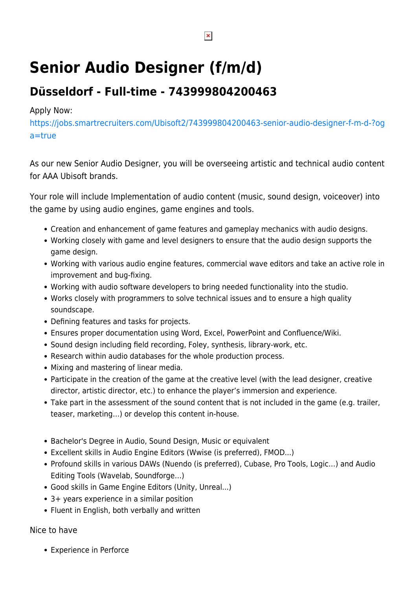## **Senior Audio Designer (f/m/d)**

## **Düsseldorf - Full-time - 743999804200463**

## Apply Now:

[https://jobs.smartrecruiters.com/Ubisoft2/743999804200463-senior-audio-designer-f-m-d-?og](https://jobs.smartrecruiters.com/Ubisoft2/743999804200463-senior-audio-designer-f-m-d-?oga=true) [a=true](https://jobs.smartrecruiters.com/Ubisoft2/743999804200463-senior-audio-designer-f-m-d-?oga=true)

As our new Senior Audio Designer, you will be overseeing artistic and technical audio content for AAA Ubisoft brands.

Your role will include Implementation of audio content (music, sound design, voiceover) into the game by using audio engines, game engines and tools.

- Creation and enhancement of game features and gameplay mechanics with audio designs.
- Working closely with game and level designers to ensure that the audio design supports the game design.
- Working with various audio engine features, commercial wave editors and take an active role in improvement and bug-fixing.
- Working with audio software developers to bring needed functionality into the studio.
- Works closely with programmers to solve technical issues and to ensure a high quality soundscape.
- Defining features and tasks for projects.
- Ensures proper documentation using Word, Excel, PowerPoint and Confluence/Wiki.
- Sound design including field recording, Foley, synthesis, library-work, etc.
- Research within audio databases for the whole production process.
- Mixing and mastering of linear media.
- Participate in the creation of the game at the creative level (with the lead designer, creative director, artistic director, etc.) to enhance the player's immersion and experience.
- Take part in the assessment of the sound content that is not included in the game (e.g. trailer, teaser, marketing…) or develop this content in-house.
- Bachelor's Degree in Audio, Sound Design, Music or equivalent
- Excellent skills in Audio Engine Editors (Wwise (is preferred), FMOD...)
- Profound skills in various DAWs (Nuendo (is preferred), Cubase, Pro Tools, Logic…) and Audio Editing Tools (Wavelab, Soundforge…)
- Good skills in Game Engine Editors (Unity, Unreal...)
- 3+ years experience in a similar position
- Fluent in English, both verbally and written

Nice to have

Experience in Perforce

 $\pmb{\times}$